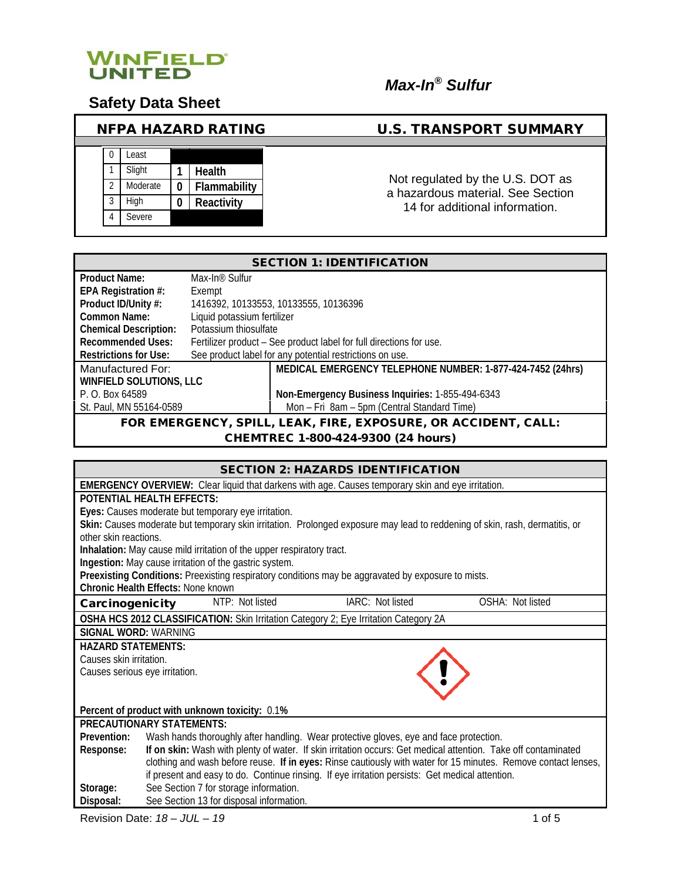

# *Max-In® Sulfur*

## **Safety Data Sheet**

| <b>NFPA HAZARD RATING</b> |          |   |              |  |  |  |
|---------------------------|----------|---|--------------|--|--|--|
|                           |          |   |              |  |  |  |
|                           | Least    |   |              |  |  |  |
|                           | Slight   |   | Health       |  |  |  |
| $\mathfrak{D}$            | Moderate | 0 | Flammability |  |  |  |
| 3                         | High     | 0 | Reactivity   |  |  |  |
|                           | Severe   |   |              |  |  |  |
|                           |          |   |              |  |  |  |

### U.S. TRANSPORT SUMMARY

Not regulated by the U.S. DOT as a hazardous material. See Section 14 for additional information.

| <b>SECTION 1: IDENTIFICATION</b>                               |                                                                     |                                                            |  |
|----------------------------------------------------------------|---------------------------------------------------------------------|------------------------------------------------------------|--|
| <b>Product Name:</b>                                           | Max-In <sup>®</sup> Sulfur                                          |                                                            |  |
| EPA Registration #:                                            | Exempt                                                              |                                                            |  |
| Product ID/Unity #:                                            |                                                                     | 1416392, 10133553, 10133555, 10136396                      |  |
| Common Name:                                                   | Liquid potassium fertilizer                                         |                                                            |  |
| <b>Chemical Description:</b>                                   | Potassium thiosulfate                                               |                                                            |  |
| <b>Recommended Uses:</b>                                       | Fertilizer product – See product label for full directions for use. |                                                            |  |
| <b>Restrictions for Use:</b>                                   | See product label for any potential restrictions on use.            |                                                            |  |
| Manufactured For:                                              |                                                                     | MEDICAL EMERGENCY TELEPHONE NUMBER: 1-877-424-7452 (24hrs) |  |
| <b>WINFIELD SOLUTIONS, LLC</b>                                 |                                                                     |                                                            |  |
| P. O. Box 64589                                                |                                                                     | Non-Emergency Business Inquiries: 1-855-494-6343           |  |
| St. Paul, MN 55164-0589                                        |                                                                     | Mon - Fri 8am - 5pm (Central Standard Time)                |  |
| FOR EMERGENCY, SPILL, LEAK, FIRE, EXPOSURE, OR ACCIDENT, CALL: |                                                                     |                                                            |  |

CHEMTREC 1-800-424-9300 (24 hours)

| <b>SECTION 2: HAZARDS IDENTIFICATION</b> |                                                                                                                             |                  |                  |
|------------------------------------------|-----------------------------------------------------------------------------------------------------------------------------|------------------|------------------|
|                                          | <b>EMERGENCY OVERVIEW:</b> Clear liquid that darkens with age. Causes temporary skin and eye irritation.                    |                  |                  |
|                                          | POTENTIAL HEALTH FEFECTS:                                                                                                   |                  |                  |
|                                          | Eyes: Causes moderate but temporary eye irritation.                                                                         |                  |                  |
|                                          | Skin: Causes moderate but temporary skin irritation. Prolonged exposure may lead to reddening of skin, rash, dermatitis, or |                  |                  |
| other skin reactions.                    |                                                                                                                             |                  |                  |
|                                          | Inhalation: May cause mild irritation of the upper respiratory tract.                                                       |                  |                  |
|                                          | Ingestion: May cause irritation of the gastric system.                                                                      |                  |                  |
|                                          | Preexisting Conditions: Preexisting respiratory conditions may be aggravated by exposure to mists.                          |                  |                  |
|                                          | Chronic Health Effects: None known                                                                                          |                  |                  |
| Carcinogenicity                          | NTP: Not listed                                                                                                             | IARC: Not listed | OSHA: Not listed |
|                                          | OSHA HCS 2012 CLASSIFICATION: Skin Irritation Category 2; Eye Irritation Category 2A                                        |                  |                  |
| SIGNAL WORD: WARNING                     |                                                                                                                             |                  |                  |
| <b>HAZARD STATEMENTS:</b>                |                                                                                                                             |                  |                  |
| Causes skin irritation.                  |                                                                                                                             |                  |                  |
| Causes serious eye irritation.           |                                                                                                                             |                  |                  |
|                                          |                                                                                                                             |                  |                  |
|                                          |                                                                                                                             |                  |                  |
|                                          | Percent of product with unknown toxicity: 0.1%                                                                              |                  |                  |
|                                          | PRECAUTIONARY STATEMENTS:                                                                                                   |                  |                  |
| Prevention:                              | Wash hands thoroughly after handling. Wear protective gloves, eye and face protection.                                      |                  |                  |
| Response:                                | If on skin: Wash with plenty of water. If skin irritation occurs: Get medical attention. Take off contaminated              |                  |                  |
|                                          | clothing and wash before reuse. If in eyes: Rinse cautiously with water for 15 minutes. Remove contact lenses,              |                  |                  |
|                                          | if present and easy to do. Continue rinsing. If eye irritation persists: Get medical attention.                             |                  |                  |
| Storage:                                 | See Section 7 for storage information.                                                                                      |                  |                  |
| Disposal:                                | See Section 13 for disposal information.                                                                                    |                  |                  |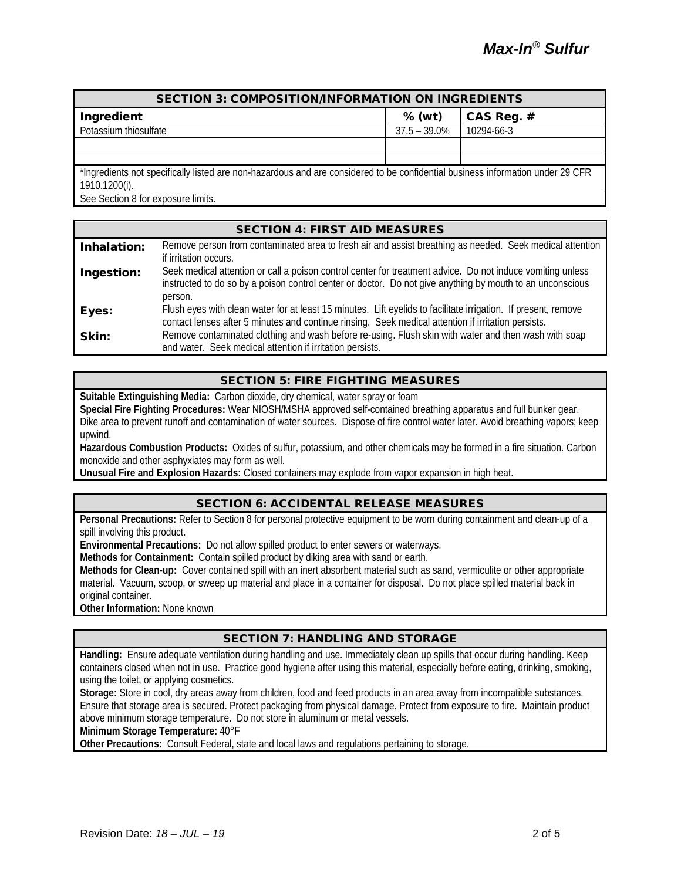| <b>SECTION 3: COMPOSITION/INFORMATION ON INGREDIENTS</b>                                                                                        |                 |            |  |
|-------------------------------------------------------------------------------------------------------------------------------------------------|-----------------|------------|--|
| Ingredient                                                                                                                                      | $%$ (wt)        | CAS Reg. # |  |
| Potassium thiosulfate                                                                                                                           | $37.5 - 39.0\%$ | 10294-66-3 |  |
|                                                                                                                                                 |                 |            |  |
|                                                                                                                                                 |                 |            |  |
| *Ingredients not specifically listed are non-hazardous and are considered to be confidential business information under 29 CFR<br>1910.1200(i). |                 |            |  |
| See Section 8 for exposure limits.                                                                                                              |                 |            |  |

|             | <b>SECTION 4: FIRST AID MEASURES</b>                                                                                                                                                                                               |
|-------------|------------------------------------------------------------------------------------------------------------------------------------------------------------------------------------------------------------------------------------|
| Inhalation: | Remove person from contaminated area to fresh air and assist breathing as needed. Seek medical attention<br>if irritation occurs.                                                                                                  |
| Ingestion:  | Seek medical attention or call a poison control center for treatment advice. Do not induce vomiting unless<br>instructed to do so by a poison control center or doctor. Do not give anything by mouth to an unconscious<br>person. |
| Eyes:       | Flush eyes with clean water for at least 15 minutes. Lift eyelids to facilitate irrigation. If present, remove<br>contact lenses after 5 minutes and continue rinsing. Seek medical attention if irritation persists.              |
| Skin:       | Remove contaminated clothing and wash before re-using. Flush skin with water and then wash with soap<br>and water. Seek medical attention if irritation persists.                                                                  |

#### SECTION 5: FIRE FIGHTING MEASURES

**Suitable Extinguishing Media:** Carbon dioxide, dry chemical, water spray or foam

**Special Fire Fighting Procedures:** Wear NIOSH/MSHA approved self-contained breathing apparatus and full bunker gear. Dike area to prevent runoff and contamination of water sources. Dispose of fire control water later. Avoid breathing vapors; keep upwind.

**Hazardous Combustion Products:** Oxides of sulfur, potassium, and other chemicals may be formed in a fire situation. Carbon monoxide and other asphyxiates may form as well.

**Unusual Fire and Explosion Hazards:** Closed containers may explode from vapor expansion in high heat.

#### SECTION 6: ACCIDENTAL RELEASE MEASURES

**Personal Precautions:** Refer to Section 8 for personal protective equipment to be worn during containment and clean-up of a spill involving this product.

**Environmental Precautions:** Do not allow spilled product to enter sewers or waterways.

**Methods for Containment:** Contain spilled product by diking area with sand or earth.

**Methods for Clean-up:** Cover contained spill with an inert absorbent material such as sand, vermiculite or other appropriate material. Vacuum, scoop, or sweep up material and place in a container for disposal. Do not place spilled material back in original container.

**Other Information:** None known

#### SECTION 7: HANDLING AND STORAGE

**Handling:** Ensure adequate ventilation during handling and use. Immediately clean up spills that occur during handling. Keep containers closed when not in use. Practice good hygiene after using this material, especially before eating, drinking, smoking, using the toilet, or applying cosmetics.

**Storage:** Store in cool, dry areas away from children, food and feed products in an area away from incompatible substances. Ensure that storage area is secured. Protect packaging from physical damage. Protect from exposure to fire. Maintain product above minimum storage temperature. Do not store in aluminum or metal vessels.

**Minimum Storage Temperature:** 40°F

**Other Precautions:** Consult Federal, state and local laws and regulations pertaining to storage.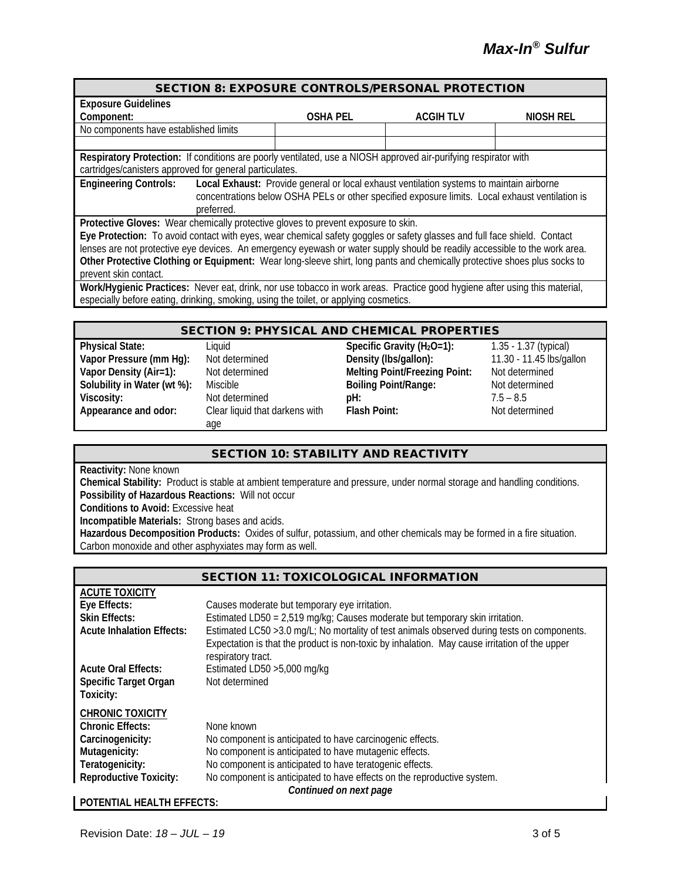| <b>SECTION 8: EXPOSURE CONTROLS/PERSONAL PROTECTION</b>                                                                    |                 |                  |           |  |
|----------------------------------------------------------------------------------------------------------------------------|-----------------|------------------|-----------|--|
| <b>Exposure Guidelines</b>                                                                                                 |                 |                  |           |  |
| Component:                                                                                                                 | <b>OSHA PEL</b> | <b>ACGIH TLV</b> | NIOSH REL |  |
| No components have established limits                                                                                      |                 |                  |           |  |
|                                                                                                                            |                 |                  |           |  |
| Respiratory Protection: If conditions are poorly ventilated, use a NIOSH approved air-purifying respirator with            |                 |                  |           |  |
| cartridges/canisters approved for general particulates.                                                                    |                 |                  |           |  |
| <b>Engineering Controls:</b><br>Local Exhaust: Provide general or local exhaust ventilation systems to maintain airborne   |                 |                  |           |  |
| concentrations below OSHA PELs or other specified exposure limits. Local exhaust ventilation is                            |                 |                  |           |  |
| preferred.                                                                                                                 |                 |                  |           |  |
| Protective Gloves: Wear chemically protective gloves to prevent exposure to skin.                                          |                 |                  |           |  |
| Eye Protection: To avoid contact with eyes, wear chemical safety goggles or safety glasses and full face shield. Contact   |                 |                  |           |  |
| lenses are not protective eye devices. An emergency eyewash or water supply should be readily accessible to the work area. |                 |                  |           |  |
| Other Protective Clothing or Equipment: Wear long-sleeve shirt, long pants and chemically protective shoes plus socks to   |                 |                  |           |  |
| prevent skin contact.                                                                                                      |                 |                  |           |  |
| Work/Hygienic Practices: Never eat, drink, nor use tobacco in work areas. Practice good hygiene after using this material, |                 |                  |           |  |
| especially before eating, drinking, smoking, using the toilet, or applying cosmetics.                                      |                 |                  |           |  |

#### SECTION 9: PHYSICAL AND CHEMICAL PROPERTIES

| <b>Physical State:</b>      | Liquid                         | Specific Gravity $(H_2O=1)$ :        | 1.35 - 1.37 (typical)    |
|-----------------------------|--------------------------------|--------------------------------------|--------------------------|
| Vapor Pressure (mm Hg):     | Not determined                 | Density (Ibs/gallon):                | 11.30 - 11.45 lbs/gallon |
| Vapor Density (Air=1):      | Not determined                 | <b>Melting Point/Freezing Point:</b> | Not determined           |
| Solubility in Water (wt %): | Miscible                       | <b>Boiling Point/Range:</b>          | Not determined           |
| Viscosity:                  | Not determined                 | $pH$ :                               | $7.5 - 8.5$              |
| Appearance and odor:        | Clear liquid that darkens with | <b>Flash Point:</b>                  | Not determined           |
|                             | age                            |                                      |                          |

#### SECTION 10: STABILITY AND REACTIVITY

**Reactivity:** None known

**Chemical Stability:** Product is stable at ambient temperature and pressure, under normal storage and handling conditions. **Possibility of Hazardous Reactions:** Will not occur **Conditions to Avoid:** Excessive heat

**Incompatible Materials:** Strong bases and acids.

**Hazardous Decomposition Products:** Oxides of sulfur, potassium, and other chemicals may be formed in a fire situation. Carbon monoxide and other asphyxiates may form as well.

| <b>SECTION 11: TOXICOLOGICAL INFORMATION</b> |                                                                                                                                                                                                                     |  |  |
|----------------------------------------------|---------------------------------------------------------------------------------------------------------------------------------------------------------------------------------------------------------------------|--|--|
| <b>ACUTE TOXICITY</b>                        |                                                                                                                                                                                                                     |  |  |
| Eye Effects:                                 | Causes moderate but temporary eye irritation.                                                                                                                                                                       |  |  |
| <b>Skin Effects:</b>                         | Estimated LD50 = 2,519 mg/kg; Causes moderate but temporary skin irritation.                                                                                                                                        |  |  |
| <b>Acute Inhalation Effects:</b>             | Estimated LC50 > 3.0 mg/L; No mortality of test animals observed during tests on components.<br>Expectation is that the product is non-toxic by inhalation. May cause irritation of the upper<br>respiratory tract. |  |  |
| <b>Acute Oral Effects:</b>                   | Estimated LD50 > 5,000 mg/kg                                                                                                                                                                                        |  |  |
| <b>Specific Target Organ</b><br>Toxicity:    | Not determined                                                                                                                                                                                                      |  |  |
| <b>CHRONIC TOXICITY</b>                      |                                                                                                                                                                                                                     |  |  |
| <b>Chronic Effects:</b>                      | None known                                                                                                                                                                                                          |  |  |
| Carcinogenicity:                             | No component is anticipated to have carcinogenic effects.                                                                                                                                                           |  |  |
| Mutagenicity:                                | No component is anticipated to have mutagenic effects.                                                                                                                                                              |  |  |
| Teratogenicity:                              | No component is anticipated to have teratogenic effects.                                                                                                                                                            |  |  |
| <b>Reproductive Toxicity:</b>                | No component is anticipated to have effects on the reproductive system.<br>Continued on next page                                                                                                                   |  |  |

#### **POTENTIAL HEALTH EFFECTS:**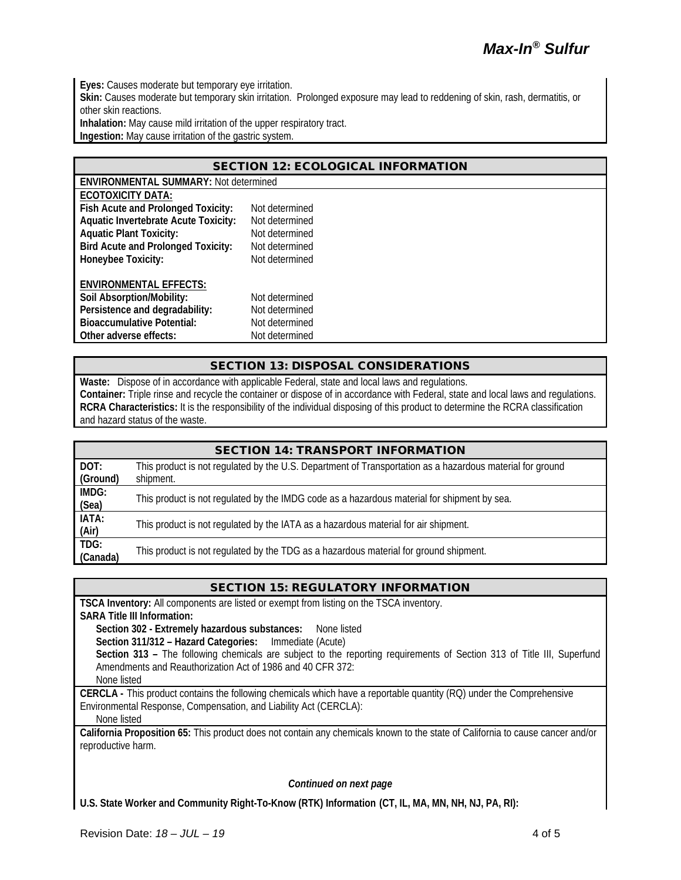**Eyes:** Causes moderate but temporary eye irritation.

Skin: Causes moderate but temporary skin irritation. Prolonged exposure may lead to reddening of skin, rash, dermatitis, or other skin reactions.

**Inhalation:** May cause mild irritation of the upper respiratory tract.

**Ingestion:** May cause irritation of the gastric system.

| <b>SECTION 12: ECOLOGICAL INFORMATION</b>   |                                              |  |  |  |
|---------------------------------------------|----------------------------------------------|--|--|--|
|                                             | <b>ENVIRONMENTAL SUMMARY: Not determined</b> |  |  |  |
| <b>ECOTOXICITY DATA:</b>                    |                                              |  |  |  |
| Fish Acute and Prolonged Toxicity:          | Not determined                               |  |  |  |
| <b>Aquatic Invertebrate Acute Toxicity:</b> | Not determined                               |  |  |  |
| <b>Aquatic Plant Toxicity:</b>              | Not determined                               |  |  |  |
| <b>Bird Acute and Prolonged Toxicity:</b>   | Not determined                               |  |  |  |
| Honeybee Toxicity:                          | Not determined                               |  |  |  |
| <b>ENVIRONMENTAL EFFECTS:</b>               |                                              |  |  |  |
| Soil Absorption/Mobility:                   | Not determined                               |  |  |  |
| Persistence and degradability:              | Not determined                               |  |  |  |
| <b>Bioaccumulative Potential:</b>           | Not determined                               |  |  |  |
| Other adverse effects:                      | Not determined                               |  |  |  |

#### SECTION 13: DISPOSAL CONSIDERATIONS

**Waste:** Dispose of in accordance with applicable Federal, state and local laws and regulations. **Container:** Triple rinse and recycle the container or dispose of in accordance with Federal, state and local laws and regulations. **RCRA Characteristics:** It is the responsibility of the individual disposing of this product to determine the RCRA classification and hazard status of the waste.

| <b>SECTION 14: TRANSPORT INFORMATION</b> |                                                                                                                        |  |
|------------------------------------------|------------------------------------------------------------------------------------------------------------------------|--|
| DOT:<br>(Ground)                         | This product is not regulated by the U.S. Department of Transportation as a hazardous material for ground<br>shipment. |  |
| IMDG:<br>(Sea)                           | This product is not regulated by the IMDG code as a hazardous material for shipment by sea.                            |  |
| IATA:<br>(Air)                           | This product is not regulated by the IATA as a hazardous material for air shipment.                                    |  |
| TDG:<br>(Canada)                         | This product is not regulated by the TDG as a hazardous material for ground shipment.                                  |  |

#### SECTION 15: REGULATORY INFORMATION

**TSCA Inventory:** All components are listed or exempt from listing on the TSCA inventory.

**SARA Title III Information:**

**Section 302 - Extremely hazardous substances:** None listed

**Section 311/312 – Hazard Categories:** Immediate (Acute)

Section 313 - The following chemicals are subject to the reporting requirements of Section 313 of Title III, Superfund Amendments and Reauthorization Act of 1986 and 40 CFR 372:

None listed

**CERCLA -** This product contains the following chemicals which have a reportable quantity (RQ) under the Comprehensive Environmental Response, Compensation, and Liability Act (CERCLA):

None listed

**California Proposition 65:** This product does not contain any chemicals known to the state of California to cause cancer and/or reproductive harm.

*Continued on next page*

**U.S. State Worker and Community Right-To-Know (RTK) Information (CT, IL, MA, MN, NH, NJ, PA, RI):**